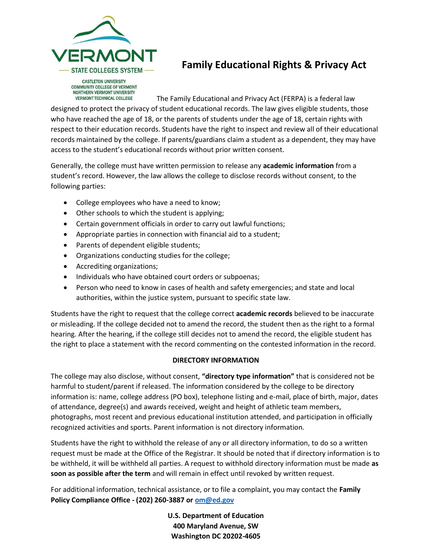

## **Family Educational Rights & Privacy Act**

**COMMUNITY COLLEGE OF VERMONT** NORTHERN VERMONT UNIVERSITY **VERMONT TECHNICAL COLLEGE** 

The Family Educational and Privacy Act (FERPA) is a federal law designed to protect the privacy of student educational records. The law gives eligible students, those who have reached the age of 18, or the parents of students under the age of 18, certain rights with respect to their education records. Students have the right to inspect and review all of their educational records maintained by the college. If parents/guardians claim a student as a dependent, they may have access to the student's educational records without prior written consent.

Generally, the college must have written permission to release any **academic information** from a student's record. However, the law allows the college to disclose records without consent, to the following parties:

- College employees who have a need to know;
- Other schools to which the student is applying;
- Certain government officials in order to carry out lawful functions;
- Appropriate parties in connection with financial aid to a student;
- Parents of dependent eligible students;
- Organizations conducting studies for the college;
- Accrediting organizations;
- Individuals who have obtained court orders or subpoenas;
- Person who need to know in cases of health and safety emergencies; and state and local authorities, within the justice system, pursuant to specific state law.

Students have the right to request that the college correct **academic records** believed to be inaccurate or misleading. If the college decided not to amend the record, the student then as the right to a formal hearing. After the hearing, if the college still decides not to amend the record, the eligible student has the right to place a statement with the record commenting on the contested information in the record.

## **DIRECTORY INFORMATION**

The college may also disclose, without consent, **"directory type information"** that is considered not be harmful to student/parent if released. The information considered by the college to be directory information is: name, college address (PO box), telephone listing and e-mail, place of birth, major, dates of attendance, degree(s) and awards received, weight and height of athletic team members, photographs, most recent and previous educational institution attended, and participation in officially recognized activities and sports. Parent information is not directory information.

Students have the right to withhold the release of any or all directory information, to do so a written request must be made at the Office of the Registrar. It should be noted that if directory information is to be withheld, it will be withheld all parties. A request to withhold directory information must be made **as soon as possible after the term** and will remain in effect until revoked by written request.

For additional information, technical assistance, or to file a complaint, you may contact the **Family Policy Compliance Office - (202) 260-3887 or [om@ed.gov](mailto:om@ed.gov)**

> **U.S. Department of Education 400 Maryland Avenue, SW Washington DC 20202-4605**